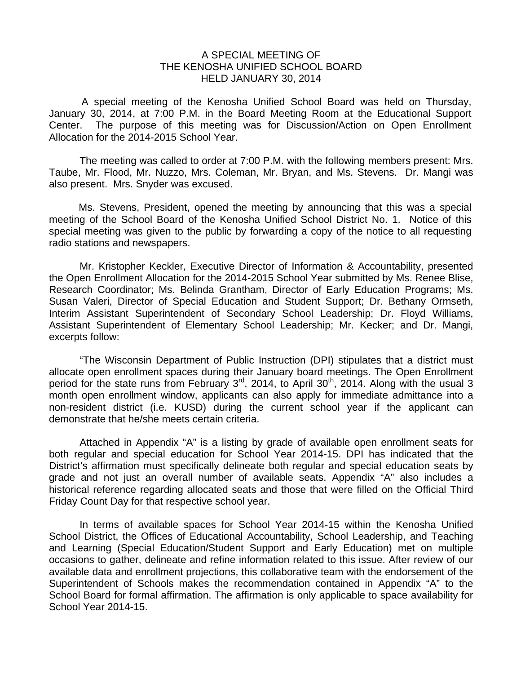## A SPECIAL MEETING OF THE KENOSHA UNIFIED SCHOOL BOARD HELD JANUARY 30, 2014

 A special meeting of the Kenosha Unified School Board was held on Thursday, January 30, 2014, at 7:00 P.M. in the Board Meeting Room at the Educational Support Center. The purpose of this meeting was for Discussion/Action on Open Enrollment Allocation for the 2014-2015 School Year.

The meeting was called to order at 7:00 P.M. with the following members present: Mrs. Taube, Mr. Flood, Mr. Nuzzo, Mrs. Coleman, Mr. Bryan, and Ms. Stevens. Dr. Mangi was also present. Mrs. Snyder was excused.

Ms. Stevens, President, opened the meeting by announcing that this was a special meeting of the School Board of the Kenosha Unified School District No. 1. Notice of this special meeting was given to the public by forwarding a copy of the notice to all requesting radio stations and newspapers.

 Mr. Kristopher Keckler, Executive Director of Information & Accountability, presented the Open Enrollment Allocation for the 2014-2015 School Year submitted by Ms. Renee Blise, Research Coordinator; Ms. Belinda Grantham, Director of Early Education Programs; Ms. Susan Valeri, Director of Special Education and Student Support; Dr. Bethany Ormseth, Interim Assistant Superintendent of Secondary School Leadership; Dr. Floyd Williams, Assistant Superintendent of Elementary School Leadership; Mr. Kecker; and Dr. Mangi, excerpts follow:

 "The Wisconsin Department of Public Instruction (DPI) stipulates that a district must allocate open enrollment spaces during their January board meetings. The Open Enrollment period for the state runs from February 3<sup>rd</sup>, 2014, to April 30<sup>th</sup>, 2014. Along with the usual 3 month open enrollment window, applicants can also apply for immediate admittance into a non-resident district (i.e. KUSD) during the current school year if the applicant can demonstrate that he/she meets certain criteria.

 Attached in Appendix "A" is a listing by grade of available open enrollment seats for both regular and special education for School Year 2014-15. DPI has indicated that the District's affirmation must specifically delineate both regular and special education seats by grade and not just an overall number of available seats. Appendix "A" also includes a historical reference regarding allocated seats and those that were filled on the Official Third Friday Count Day for that respective school year.

 In terms of available spaces for School Year 2014-15 within the Kenosha Unified School District, the Offices of Educational Accountability, School Leadership, and Teaching and Learning (Special Education/Student Support and Early Education) met on multiple occasions to gather, delineate and refine information related to this issue. After review of our available data and enrollment projections, this collaborative team with the endorsement of the Superintendent of Schools makes the recommendation contained in Appendix "A" to the School Board for formal affirmation. The affirmation is only applicable to space availability for School Year 2014-15.